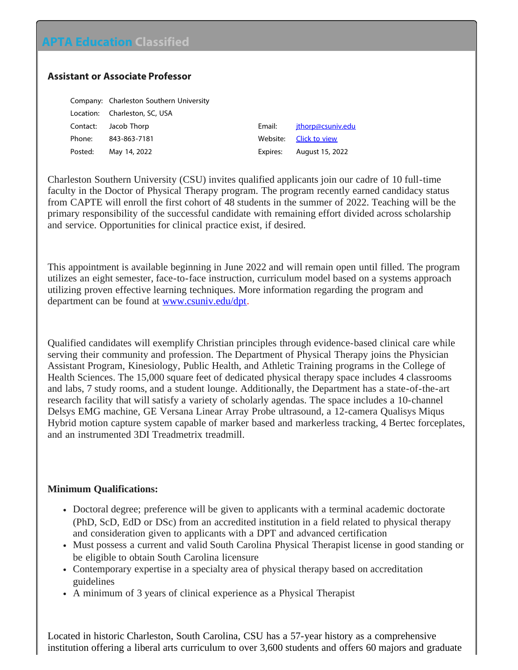## **APTA Education Classified**

## **Assistant or Associate Professor**

| Company: Charleston Southern University |          |
|-----------------------------------------|----------|
| Location: Charleston, SC, USA           |          |
| Contact: Jacob Thorp                    | Email:   |
| Phone: 843-863-7181                     | Website: |
| Posted: May 14, 2022                    | Expires: |

Charleston Southern University (CSU) invites qualified applicants join our cadre of 10 full-time faculty in the Doctor of Physical Therapy program. The program recently earned candidacy status from CAPTE will enroll the first cohort of 48 students in the summer of 2022. Teaching will be the primary responsibility of the successful candidate with remaining effort divided across scholarship and service. Opportunities for clinical practice exist, if desired.

[jthorp@csuniv.edu](mailto:jthorp@csuniv.edu?subject=Response to Classified on APTA Education website) [Click to view](https://aptaeducation.org?q21s6b/) August 15, 2022

This appointment is available beginning in June 2022 and will remain open until filled. The program utilizes an eight semester, face-to-face instruction, curriculum model based on a systems approach utilizing proven effective learning techniques. More information regarding the program and department can be found at <u>www.csuniv.edu/dpt</u>.

Qualified candidates will exemplify Christian principles through evidence-based clinical care while serving their community and profession. The Department of Physical Therapy joins the Physician Assistant Program, Kinesiology, Public Health, and Athletic Training programs in the College of Health Sciences. The 15,000 square feet of dedicated physical therapy space includes 4 classrooms and labs, 7 study rooms, and a student lounge. Additionally, the Department has a state-of-the-art research facility that will satisfy a variety of scholarly agendas. The space includes a 10-channel Delsys EMG machine, GE Versana Linear Array Probe ultrasound, a 12-camera Qualisys Miqus Hybrid motion capture system capable of marker based and markerless tracking, 4 Bertec forceplates, and an instrumented 3DI Treadmetrix treadmill.

## **Minimum Qualifications:**

- Doctoral degree; preference will be given to applicants with a terminal academic doctorate (PhD, ScD, EdD or DSc) from an accredited institution in a field related to physical therapy and consideration given to applicants with a DPT and advanced certification
- Must possess a current and valid South Carolina Physical Therapist license in good standing or be eligible to obtain South Carolina licensure
- Contemporary expertise in a specialty area of physical therapy based on accreditation guidelines
- A minimum of 3 years of clinical experience as a Physical Therapist

Located in historic Charleston, South Carolina, CSU has a 57-year history as a comprehensive institution offering a liberal arts curriculum to over 3,600 students and offers 60 majors and graduate